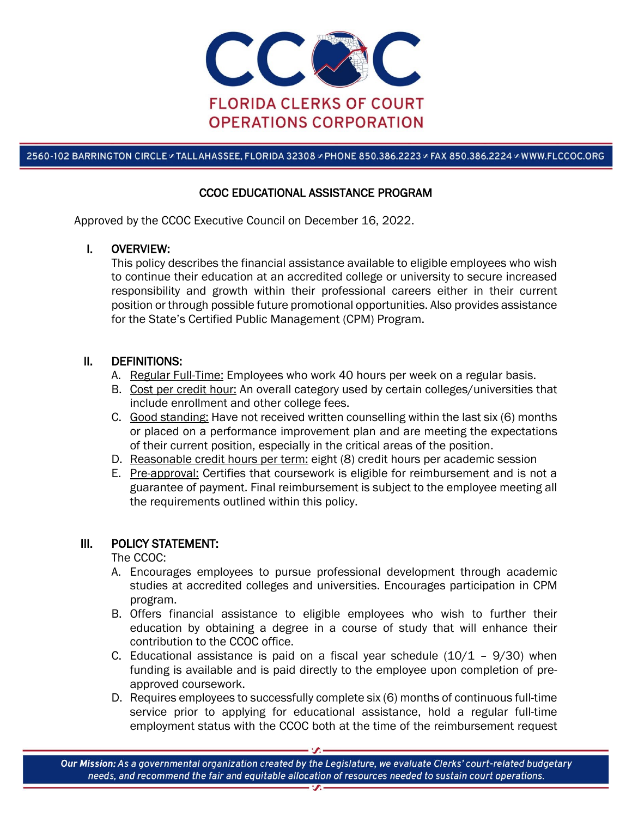

2560-102 BARRINGTON CIRCLE & TALLAHASSEE, FLORIDA 32308 & PHONE 850.386.2223 & FAX 850.386.2224 & WWW.FLCCOC.ORG

# CCOC EDUCATIONAL ASSISTANCE PROGRAM

Approved by the CCOC Executive Council on December 16, 2022.

#### I. OVERVIEW:

This policy describes the financial assistance available to eligible employees who wish to continue their education at an accredited college or university to secure increased responsibility and growth within their professional careers either in their current position or through possible future promotional opportunities. Also provides assistance for the State's Certified Public Management (CPM) Program.

#### II. DEFINITIONS:

- A. Regular Full-Time: Employees who work 40 hours per week on a regular basis.
- B. Cost per credit hour: An overall category used by certain colleges/universities that include enrollment and other college fees.
- C. Good standing: Have not received written counselling within the last six (6) months or placed on a performance improvement plan and are meeting the expectations of their current position, especially in the critical areas of the position.
- D. Reasonable credit hours per term: eight (8) credit hours per academic session
- E. Pre-approval: Certifies that coursework is eligible for reimbursement and is not a guarantee of payment. Final reimbursement is subject to the employee meeting all the requirements outlined within this policy.

# III. POLICY STATEMENT:

The CCOC:

- A. Encourages employees to pursue professional development through academic studies at accredited colleges and universities. Encourages participation in CPM program.
- B. Offers financial assistance to eligible employees who wish to further their education by obtaining a degree in a course of study that will enhance their contribution to the CCOC office.
- C. Educational assistance is paid on a fiscal year schedule  $(10/1 9/30)$  when funding is available and is paid directly to the employee upon completion of preapproved coursework.
- D. Requires employees to successfully complete six (6) months of continuous full-time service prior to applying for educational assistance, hold a regular full-time employment status with the CCOC both at the time of the reimbursement request

Our Mission: As a governmental organization created by the Legislature, we evaluate Clerks' court-related budgetary needs, and recommend the fair and equitable allocation of resources needed to sustain court operations.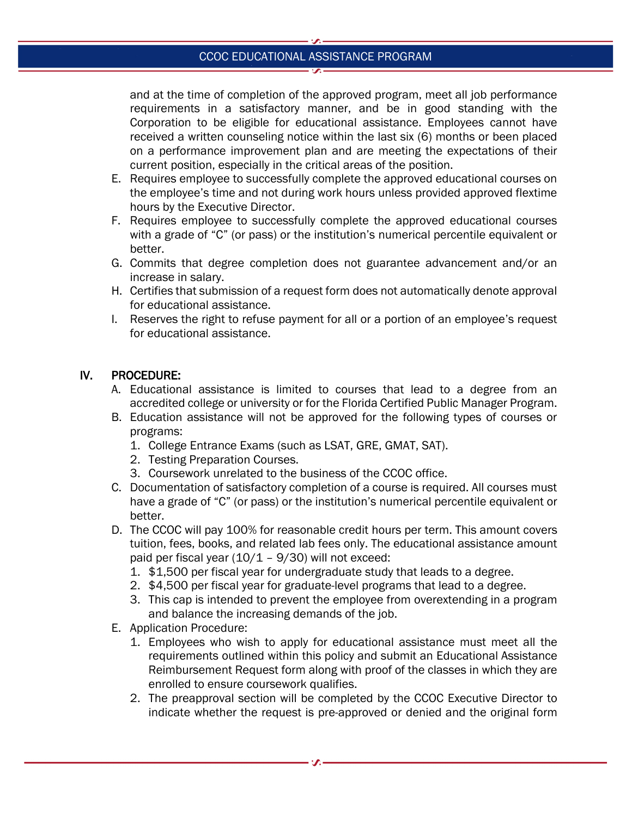# CCOC EDUCATIONAL ASSISTANCE PROGRAM

and at the time of completion of the approved program, meet all job performance requirements in a satisfactory manner, and be in good standing with the Corporation to be eligible for educational assistance. Employees cannot have received a written counseling notice within the last six (6) months or been placed on a performance improvement plan and are meeting the expectations of their current position, especially in the critical areas of the position.

- E. Requires employee to successfully complete the approved educational courses on the employee's time and not during work hours unless provided approved flextime hours by the Executive Director.
- F. Requires employee to successfully complete the approved educational courses with a grade of "C" (or pass) or the institution's numerical percentile equivalent or better.
- G. Commits that degree completion does not guarantee advancement and/or an increase in salary.
- H. Certifies that submission of a request form does not automatically denote approval for educational assistance.
- I. Reserves the right to refuse payment for all or a portion of an employee's request for educational assistance.

# IV. PROCEDURE:

- A. Educational assistance is limited to courses that lead to a degree from an accredited college or university or for the Florida Certified Public Manager Program.
- B. Education assistance will not be approved for the following types of courses or programs:
	- 1. College Entrance Exams (such as LSAT, GRE, GMAT, SAT).
	- 2. Testing Preparation Courses.
	- 3. Coursework unrelated to the business of the CCOC office.
- C. Documentation of satisfactory completion of a course is required. All courses must have a grade of "C" (or pass) or the institution's numerical percentile equivalent or better.
- D. The CCOC will pay 100% for reasonable credit hours per term. This amount covers tuition, fees, books, and related lab fees only. The educational assistance amount paid per fiscal year (10/1 – 9/30) will not exceed:
	- 1. \$1,500 per fiscal year for undergraduate study that leads to a degree.
	- 2. \$4,500 per fiscal year for graduate-level programs that lead to a degree.
	- 3. This cap is intended to prevent the employee from overextending in a program and balance the increasing demands of the job.
- E. Application Procedure:
	- 1. Employees who wish to apply for educational assistance must meet all the requirements outlined within this policy and submit an Educational Assistance Reimbursement Request form along with proof of the classes in which they are enrolled to ensure coursework qualifies.
	- 2. The preapproval section will be completed by the CCOC Executive Director to indicate whether the request is pre-approved or denied and the original form